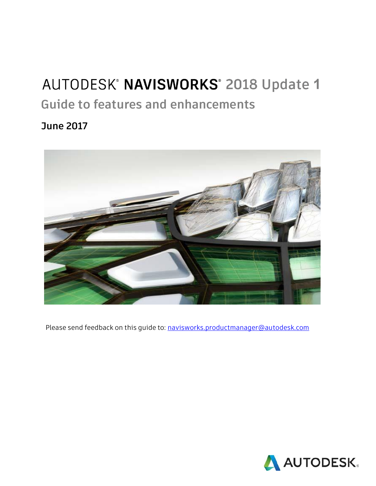## AUTODESK® NAVISWORKS® 2018 Update 1

**Guide to features and enhancements**

**June 2017**



Please send feedback on this guide to: [navisworks.productmanager@autodesk.com](mailto:navisworks.productmanager@autodesk.com)

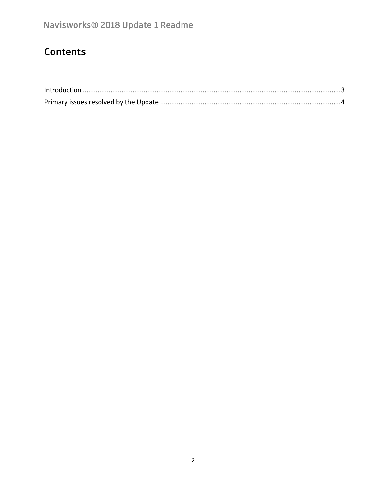## Contents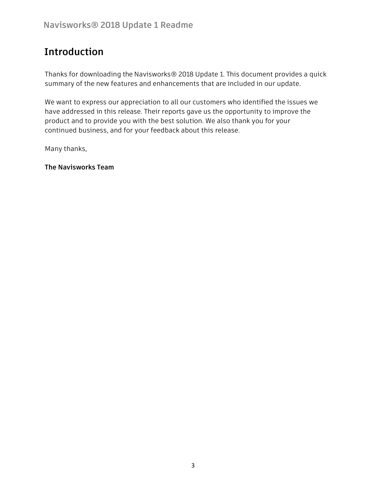## <span id="page-2-0"></span>**Introduction**

Thanks for downloading the Navisworks® 2018 Update 1. This document provides a quick summary of the new features and enhancements that are included in our update.

We want to express our appreciation to all our customers who identified the issues we have addressed in this release. Their reports gave us the opportunity to improve the product and to provide you with the best solution. We also thank you for your continued business, and for your feedback about this release.

Many thanks,

**The Navisworks Team**